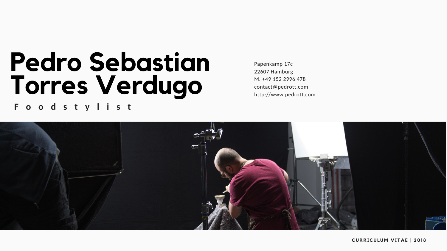# **Pedro Sebastian Torres Verdugo F o o d s t y l i s t**

Papenkamp 17c 22607 Hamburg M. +49 152 2996 478 contact@pedrott.com http://www.pedrott.com



#### **CURRICULU M V I T A E | 201 8**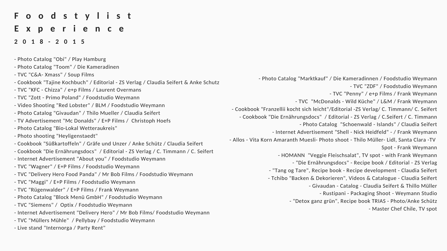### **F o o d s t y l i s t E x p e r i e n c e**

#### **2 0 1 8 - 2 0 1 5**

- Photo Catalog "Obi" / Play Hamburg

| - Photo Catalog Obi / Play Hamburg                                                   |                        |
|--------------------------------------------------------------------------------------|------------------------|
| - Photo Catalog "Toom" / Die Kameradinen                                             |                        |
| - TVC "C&A- Xmass" / Soup Films                                                      |                        |
| - Cookbook "Tajine Kochbuch" / Editorial - ZS Verlag / Claudia Seifert & Anke Schutz | - Photo (              |
| - TVC "KFC - Chizza" / e+p Films / Laurent Overmans                                  |                        |
| - TVC "Zott - Primo Poland" / Foodstudio Weymann                                     |                        |
| - Video Shooting "Red Lobster" / BLM / Foodstudio Weymann                            |                        |
| - Photo Catalog "Givaudan" / Thilo Mueller / Claudia Seifert                         | - Cookbook "Franze     |
| - TV Advertisement "Mc Donalds" / E+P Films / Christoph Hoefs                        | - Cookbook "Die        |
| - Photo Catalog "Bio-Lokal Wetteraukreis"                                            | - Ir                   |
| - Photo shooting "Heyligenstaedt"                                                    | - Allos - Vita Korn An |
| - Cookbook "Süßkartoffeln" / Gräfe und Unzer / Anke Schütz / Claudia Seifert         |                        |
| - Cookbook "Die Ernährungsdocs" / Editorial - ZS Verlag / C. Timmann / C. Seifert    |                        |
| - Internet Advertisement "About you" / Foodstudio Weymann                            |                        |
| - TVC "Wagner" / E+P Films / Foodstudio Weymann                                      | - "Ta                  |
| - TVC "Delivery Hero Food Panda" / Mr Bob Films / Foodstudio Weymann                 | - Tch                  |
| - TVC "Maggi" / E+P Films / Foodstudio Weymann                                       |                        |
| - TVC "Rügenwalder" / E+P Films / Frank Weymann                                      |                        |
| - Photo Catalog "Block Menü GmbH" / Foodstudio Weymann                               |                        |
| - TVC "Siemens" / Optix / Foodstudio Weymann                                         |                        |
| - Internet Advertisement "Delivery Hero" / Mr Bob Films/ Foodstudio Weymann          |                        |
| - TVC "Müllers Mühle" / Pellybay / Foodstudio Weymann                                |                        |
| - Live stand "Internorga / Party Rent"                                               |                        |

Catalog "Marktkauf" / Die Kameradinnen / Foodstudio Weymann - TVC "ZDF" / Foodstudio Weymann

- TVC "Penny" / e+p Films / Frank Weymann

- TVC "McDonalds - Wild Küche" / L&M / Frank Weymann

ellii kocht sich leicht"/Editorial -ZS Verlag/ C. Timmann/ C. Seifert Ernährungsdocs" / Editorial - ZS Verlag / C.Seifert / C. Timmann

- Photo Catalog "Schoenwald - Islands" / Claudia Seifert hternet Advertisement "Shell - Nick Heidfeld" - / Frank Weymann maranth Muesli- Photo shoot - Thilo Müller- Lidl, Santa Clara -TV Spot - Frank Weymann

- HOMANN "Veggie Fleischsalat", TV spot - with Frank Weymann - "Die Ernährungsdocs" - Recipe book / Editorial - ZS Verlag

ang og Tare", Recipe book - Recipe development - Claudia Seifert hibo "Backen & Dekorieren", Videos & Catalogue - Claudia Seifert

- Givaudan - Catalog - Claudia Seifert & Thillo Müller

- Rustipani - Packaging Shoot - Weymann Studio

- "Detox ganz grün", Recipe book TRIAS - Photo/Anke Schütz

- Master Chef Chile, TV spot